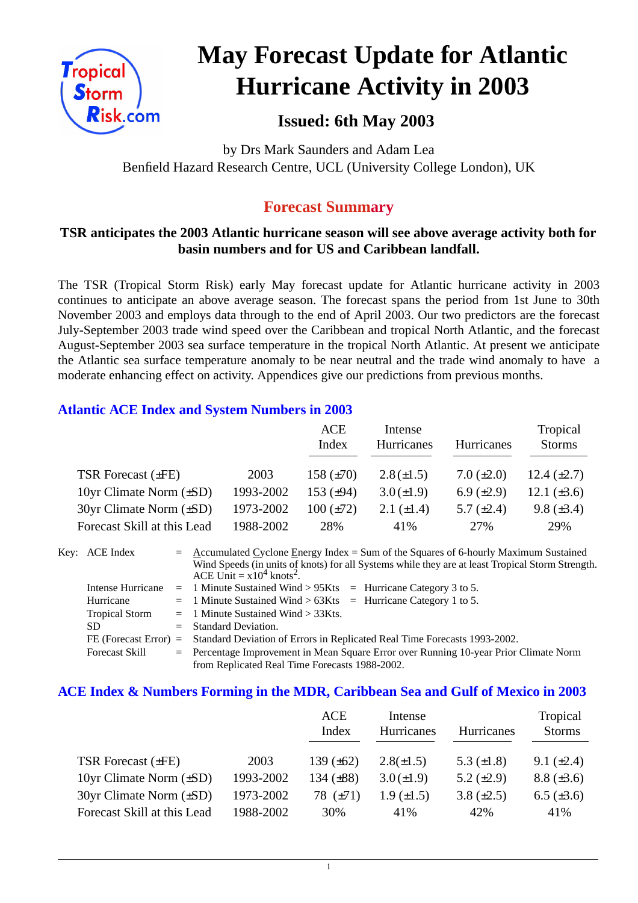

# **May Forecast Update for Atlantic Hurricane Activity in 2003**

# **Issued: 6th May 2003**

by Drs Mark Saunders and Adam Lea Benfield Hazard Research Centre, UCL (University College London), UK

## **Forecast Summary**

## **TSR anticipates the 2003 Atlantic hurricane season will see above average activity both for basin numbers and for US and Caribbean landfall.**

The TSR (Tropical Storm Risk) early May forecast update for Atlantic hurricane activity in 2003 continues to anticipate an above average season. The forecast spans the period from 1st June to 30th November 2003 and employs data through to the end of April 2003. Our two predictors are the forecast July-September 2003 trade wind speed over the Caribbean and tropical North Atlantic, and the forecast August-September 2003 sea surface temperature in the tropical North Atlantic. At present we anticipate the Atlantic sea surface temperature anomaly to be near neutral and the trade wind anomaly to have a moderate enhancing effect on activity. Appendices give our predictions from previous months.

#### **Atlantic ACE Index and System Numbers in 2003**

|                                |           | <b>ACE</b><br>Index | Intense<br>Hurricanes | Hurricanes      | Tropical<br><b>Storms</b> |
|--------------------------------|-----------|---------------------|-----------------------|-----------------|---------------------------|
| TSR Forecast $(\pm FE)$        | 2003      | 158 $(\pm 70)$      | $2.8(\pm 1.5)$        | 7.0 $(\pm 2.0)$ | 12.4 $(\pm 2.7)$          |
| 10yr Climate Norm $(\pm SD)$   | 1993-2002 | 153 $(\pm 94)$      | $3.0 (\pm 1.9)$       | 6.9 $(\pm 2.9)$ | 12.1 $(\pm 3.6)$          |
| $30yr$ Climate Norm $(\pm SD)$ | 1973-2002 | $100 (\pm 72)$      | 2.1 $(\pm 1.4)$       | 5.7 $(\pm 2.4)$ | 9.8 $(\pm 3.4)$           |
| Forecast Skill at this Lead    | 1988-2002 | 28%                 | 41%                   | 27%             | 29%                       |

Key: ACE Index = Accumulated Cyclone Energy Index = Sum of the Squares of 6-hourly Maximum Sustained Wind Speeds (in units of knots) for all Systems while they are at least Tropical Storm Strength. ACE Unit  $= x10^4$  knots<sup>2</sup>. Intense Hurricane = 1 Minute Sustained Wind > 95Kts = Hurricane Category 3 to 5. Hurricane  $= 1$  Minute Sustained Wind  $> 63K$ ts = Hurricane Category 1 to 5. Tropical Storm  $= 1$  Minute Sustained Wind  $> 33Kts$ . SD = Standard Deviation. FE (Forecast Error) = Standard Deviation of Errors in Replicated Real Time Forecasts 1993-2002. Forecast Skill = Percentage Improvement in Mean Square Error over Running 10-year Prior Climate Norm

from Replicated Real Time Forecasts 1988-2002.

#### **ACE Index & Numbers Forming in the MDR, Caribbean Sea and Gulf of Mexico in 2003**

|                                |           | <b>ACE</b><br>Index | Intense<br>Hurricanes | Hurricanes      | Tropical<br><b>Storms</b> |
|--------------------------------|-----------|---------------------|-----------------------|-----------------|---------------------------|
| TSR Forecast $(\pm FE)$        | 2003      | 139 $(\pm 62)$      | $2.8(\pm 1.5)$        | 5.3 $(\pm 1.8)$ | 9.1 $(\pm 2.4)$           |
| 10yr Climate Norm $(\pm SD)$   | 1993-2002 | 134 $(\pm 88)$      | $3.0 (\pm 1.9)$       | 5.2 $(\pm 2.9)$ | $8.8 (\pm 3.6)$           |
| $30yr$ Climate Norm $(\pm SD)$ | 1973-2002 | 78 $(\pm 71)$       | $1.9 \ (\pm 1.5)$     | 3.8 $(\pm 2.5)$ | $6.5 (\pm 3.6)$           |
| Forecast Skill at this Lead    | 1988-2002 | 30%                 | 41%                   | 42%             | 41%                       |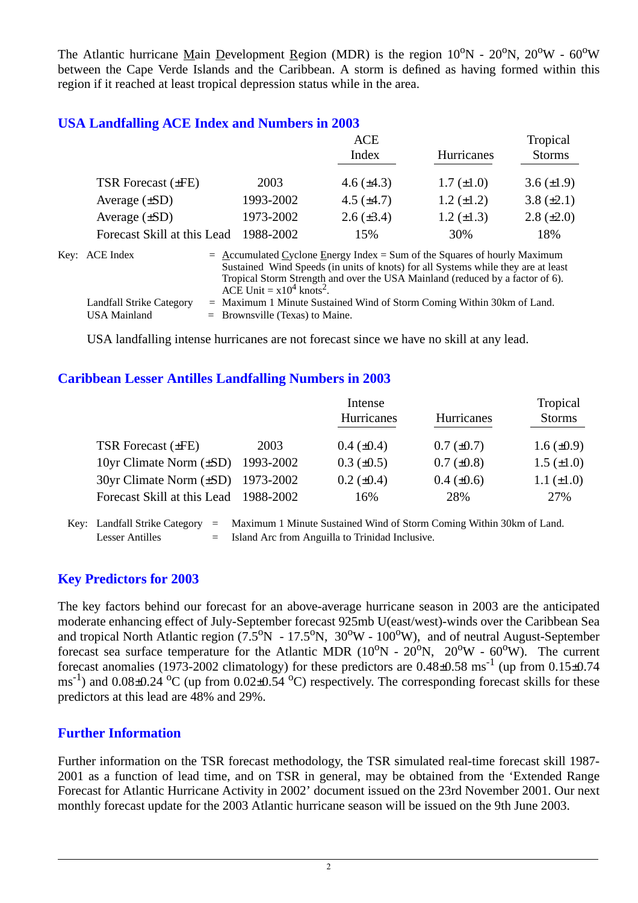The Atlantic hurricane Main Development Region (MDR) is the region  $10^{\circ}N - 20^{\circ}N$ ,  $20^{\circ}W - 60^{\circ}W$ between the Cape Verde Islands and the Caribbean. A storm is defined as having formed within this region if it reached at least tropical depression status while in the area.

## **USA Landfalling ACE Index and Numbers in 2003**

|                             |           | ACE             |                   |                 |
|-----------------------------|-----------|-----------------|-------------------|-----------------|
|                             |           | Index           | <b>Hurricanes</b> | <b>Storms</b>   |
|                             |           |                 |                   |                 |
| TSR Forecast $(\pm FE)$     | 2003      | 4.6 $(\pm 4.3)$ | $1.7 (\pm 1.0)$   | 3.6 $(\pm 1.9)$ |
| Average $(\pm SD)$          | 1993-2002 | 4.5 $(\pm 4.7)$ | $1.2 \ (\pm 1.2)$ | $3.8 (\pm 2.1)$ |
| Average $(\pm SD)$          | 1973-2002 | $2.6 (\pm 3.4)$ | $1.2 \ (\pm 1.3)$ | $2.8 (\pm 2.0)$ |
| Forecast Skill at this Lead | 1988-2002 | 15%             | 30%               | 18%             |
|                             |           |                 |                   |                 |

| Key: ACE Index           | $=$ Accumulated Cyclone Energy Index = Sum of the Squares of hourly Maximum       |
|--------------------------|-----------------------------------------------------------------------------------|
|                          | Sustained Wind Speeds (in units of knots) for all Systems while they are at least |
|                          | Tropical Storm Strength and over the USA Mainland (reduced by a factor of 6).     |
|                          | ACE Unit = $x10^4$ knots <sup>2</sup> .                                           |
| Landfall Strike Category | $=$ Maximum 1 Minute Sustained Wind of Storm Coming Within 30km of Land.          |
| USA Mainland             | $=$ Brownsville (Texas) to Maine.                                                 |

USA landfalling intense hurricanes are not forecast since we have no skill at any lead.

#### **Caribbean Lesser Antilles Landfalling Numbers in 2003**

|                                          |      | Intense           |                   |                   |  |
|------------------------------------------|------|-------------------|-------------------|-------------------|--|
|                                          |      | Hurricanes        | <b>Hurricanes</b> | <b>Storms</b>     |  |
| TSR Forecast $(\pm FE)$                  | 2003 | $0.4~(\pm 0.4)$   | $0.7 (\pm 0.7)$   | $1.6 \ (\pm 0.9)$ |  |
| 10yr Climate Norm (±SD) 1993-2002        |      | $0.3 \ (\pm 0.5)$ | $0.7 (\pm 0.8)$   | $1.5 \ (\pm 1.0)$ |  |
| $30yr$ Climate Norm $(\pm SD)$ 1973-2002 |      | $0.2 \ (\pm 0.4)$ | $0.4 \ (\pm 0.6)$ | $1.1 (\pm 1.0)$   |  |
| Forecast Skill at this Lead 1988-2002    |      | 16%               | 28%               | 27%               |  |

Key: Landfall Strike Category = Maximum 1 Minute Sustained Wind of Storm Coming Within 30km of Land. Lesser Antilles  $=$  Island Arc from Anguilla to Trinidad Inclusive.

## **Key Predictors for 2003**

The key factors behind our forecast for an above-average hurricane season in 2003 are the anticipated moderate enhancing effect of July-September forecast 925mb U(east/west)-winds over the Caribbean Sea and tropical North Atlantic region  $(7.5^{\circ}N - 17.5^{\circ}N, 30^{\circ}W - 100^{\circ}W)$ , and of neutral August-September forecast sea surface temperature for the Atlantic MDR  $(10^{\circ}N - 20^{\circ}N, 20^{\circ}W - 60^{\circ}W)$ . The current forecast anomalies (1973-2002 climatology) for these predictors are  $0.48\pm0.58$  ms<sup>-1</sup> (up from  $0.15\pm0.74$ )  $\text{ms}^{-1}$ ) and 0.08 $\pm$ 0.24 <sup>o</sup>C (up from 0.02 $\pm$ 0.54 <sup>o</sup>C) respectively. The corresponding forecast skills for these predictors at this lead are 48% and 29%.

#### **Further Information**

Further information on the TSR forecast methodology, the TSR simulated real-time forecast skill 1987- 2001 as a function of lead time, and on TSR in general, may be obtained from the 'Extended Range Forecast for Atlantic Hurricane Activity in 2002' document issued on the 23rd November 2001. Our next monthly forecast update for the 2003 Atlantic hurricane season will be issued on the 9th June 2003.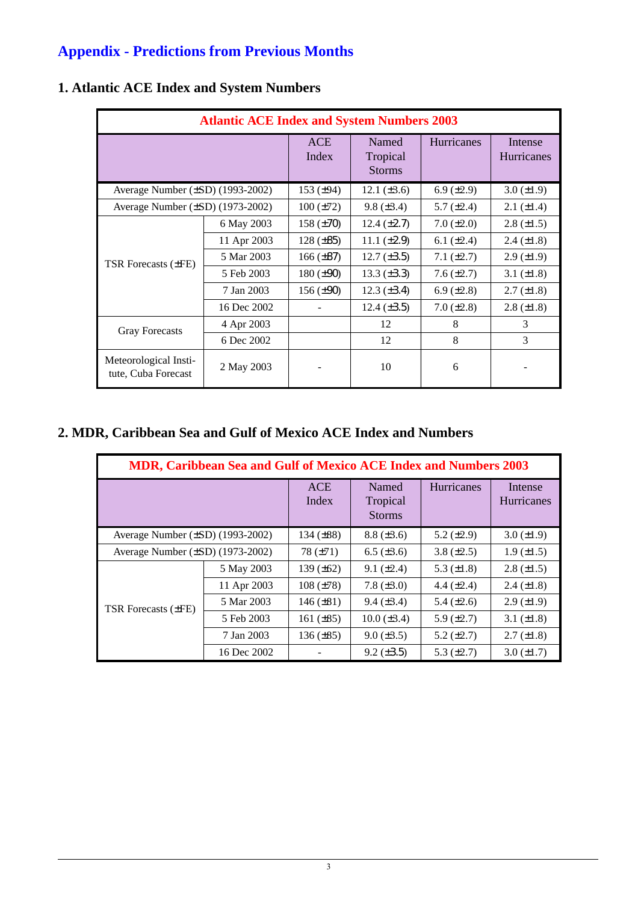# **Appendix - Predictions from Previous Months**

| <b>Atlantic ACE Index and System Numbers 2003</b> |             |                     |                                    |                   |                              |  |
|---------------------------------------------------|-------------|---------------------|------------------------------------|-------------------|------------------------------|--|
|                                                   |             | <b>ACE</b><br>Index | Named<br>Tropical<br><b>Storms</b> | Hurricanes        | Intense<br><b>Hurricanes</b> |  |
| Average Number $(\pm SD)$ (1993-2002)             |             | 153 $(\pm 94)$      | 12.1 $(\pm 3.6)$                   | 6.9 $(\pm 2.9)$   | $3.0 (\pm 1.9)$              |  |
| Average Number $(\pm SD)$ (1973-2002)             |             | $100 (\pm 72)$      | $9.8 (\pm 3.4)$                    | 5.7 $(\pm 2.4)$   | $2.1 (\pm 1.4)$              |  |
|                                                   | 6 May 2003  | $158 (\pm 70)$      | 12.4 $(\pm 2.7)$                   | $7.0 (\pm 2.0)$   | $2.8 \ (\pm 1.5)$            |  |
|                                                   | 11 Apr 2003 | $128 (\pm 85)$      | 11.1 $(\pm 2.9)$                   | 6.1 $(\pm 2.4)$   | $2.4 \ (\pm 1.8)$            |  |
|                                                   | 5 Mar 2003  | $166 (\pm 87)$      | $12.7 (\pm 3.5)$                   | $7.1 (\pm 2.7)$   | $2.9 \ (\pm 1.9)$            |  |
| <b>TSR</b> Forecasts ( $\pm$ FE)                  | 5 Feb 2003  | $180 (\pm 90)$      | 13.3 $(\pm 3.3)$                   | $7.6 (\pm 2.7)$   | 3.1 $(\pm 1.8)$              |  |
|                                                   | 7 Jan 2003  | $156 (\pm 90)$      | $12.3 \ (\pm 3.4)$                 | $6.9 \ (\pm 2.8)$ | $2.7 (\pm 1.8)$              |  |
|                                                   | 16 Dec 2002 |                     | 12.4 $(\pm 3.5)$                   | $7.0 \ (\pm 2.8)$ | $2.8 \ (\pm 1.8)$            |  |
| <b>Gray Forecasts</b>                             | 4 Apr 2003  |                     | 12                                 | 8                 | 3                            |  |
|                                                   | 6 Dec 2002  |                     | 12                                 | 8                 | 3                            |  |
| Meteorological Insti-<br>tute, Cuba Forecast      | 2 May 2003  |                     | 10                                 | 6                 |                              |  |

## **1. Atlantic ACE Index and System Numbers**

## **2. MDR, Caribbean Sea and Gulf of Mexico ACE Index and Numbers**

| <b>MDR, Caribbean Sea and Gulf of Mexico ACE Index and Numbers 2003</b> |             |                     |                                    |                   |                              |  |
|-------------------------------------------------------------------------|-------------|---------------------|------------------------------------|-------------------|------------------------------|--|
|                                                                         |             | <b>ACE</b><br>Index | Named<br>Tropical<br><b>Storms</b> | <b>Hurricanes</b> | Intense<br><b>Hurricanes</b> |  |
| Average Number $(\pm SD)$ (1993-2002)                                   |             | 134 $(\pm 88)$      | $8.8 (\pm 3.6)$                    | 5.2 $(\pm 2.9)$   | $3.0 (\pm 1.9)$              |  |
| Average Number $(\pm SD)$ (1973-2002)                                   |             | 78 $(\pm 71)$       | $6.5 (\pm 3.6)$                    | 3.8 $(\pm 2.5)$   | $1.9 \ (\pm 1.5)$            |  |
| TSR Forecasts $(\pm FE)$                                                | 5 May 2003  | 139 $(\pm 62)$      | $9.1 (\pm 2.4)$                    | 5.3 $(\pm 1.8)$   | $2.8 (\pm 1.5)$              |  |
|                                                                         | 11 Apr 2003 | $108 (\pm 78)$      | 7.8 $(\pm 3.0)$                    | 4.4 $(\pm 2.4)$   | $2.4 \ (\pm 1.8)$            |  |
|                                                                         | 5 Mar 2003  | 146 $(\pm 81)$      | $9.4 \ (\pm 3.4)$                  | 5.4 $(\pm 2.6)$   | $2.9 \ (\pm 1.9)$            |  |
|                                                                         | 5 Feb 2003  | 161 $(\pm 85)$      | $10.0 (\pm 3.4)$                   | 5.9 $(\pm 2.7)$   | 3.1 $(\pm 1.8)$              |  |
|                                                                         | 7 Jan 2003  | $136 (\pm 85)$      | $9.0 \ (\pm 3.5)$                  | 5.2 $(\pm 2.7)$   | $2.7 \ (\pm 1.8)$            |  |
|                                                                         | 16 Dec 2002 |                     | $9.2 \ (\pm 3.5)$                  | 5.3 $(\pm 2.7)$   | $3.0 (\pm 1.7)$              |  |